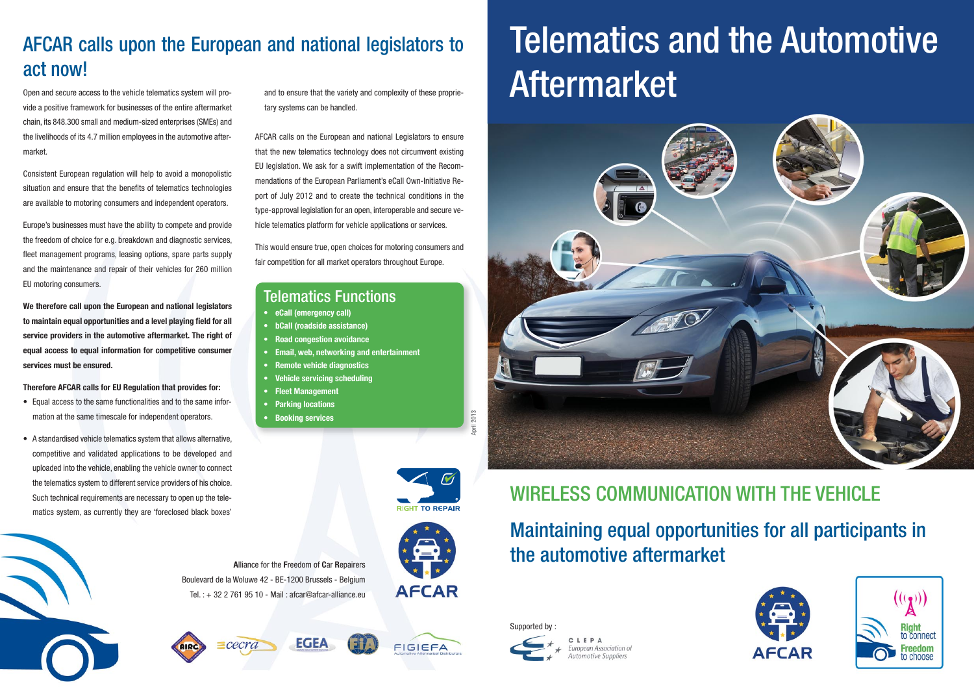Open and secure access to the vehicle telematics system will provide a positive framework for businesses of the entire aftermarket chain, its 848.300 small and medium-sized enterprises (SMEs) and the livelihoods of its 4.7 million employees in the automotive aftermarket.

Consistent European regulation will help to avoid a monopolistic situation and ensure that the benefits of telematics technologies are available to motoring consumers and independent operators.

Europe's businesses must have the ability to compete and provide the freedom of choice for e.g. breakdown and diagnostic services, fleet management programs, leasing options, spare parts supply and the maintenance and repair of their vehicles for 260 million EU motoring consumers.

**We therefore call upon the European and national legislators to maintain equal opportunities and a level playing field for all service providers in the automotive aftermarket. The right of equal access to equal information for competitive consumer services must be ensured.**

**Therefore AFCAR calls for EU Regulation that provides for:**

# Maintaining equal opportunities for all participants in Alliance for the Freedom of Car Repairers **Alliance for the Freedom of Car Repairers**

- Equal access to the same functionalities and to the same information at the same timescale for independent operators.
- A standardised vehicle telematics system that allows alternative, competitive and validated applications to be developed and uploaded into the vehicle, enabling the vehicle owner to connect the telematics system to different service providers of his choice. Such technical requirements are necessary to open up the telematics system, as currently they are 'foreclosed black boxes'

and to ensure that the variety and complexity of these proprietary systems can be handled.

AFCAR calls on the European and national Legislators to ensure that the new telematics technology does not circumvent existing EU legislation. We ask for a swift implementation of the Recommendations of the European Parliament's eCall Own-Initiative Report of July 2012 and to create the technical conditions in the type-approval legislation for an open, interoperable and secure vehicle telematics platform for vehicle applications or services.

This would ensure true, open choices for motoring consumers and fair competition for all market operators throughout Europe.

## AFCAR calls upon the European and national legislators to act now!

# WIRELESS COMMUNICATION WITH THE VEHICLE

Boulevard de la Woluwe 42 - BE-1200 Brussels - Belgium

**EGEA** 



Tel. : + 32 2 761 95 10 - Mail : afcar@afcar-alliance.eu

 $\equiv$ cecra





# Telematics and the Automotive Aftermarket







**FIGIEFA** 

#### Telematics Functions

- **eCall (emergency call)**
- **bCall (roadside assistance)**
- **Road congestion avoidance**
- **Email, web, networking and entertainment**
- **Remote vehicle diagnostics**
- **Vehicle servicing scheduling**
- **Fleet Management**
- **Parking locations**
- **Booking services**

2013

Supported by :



ean Association c